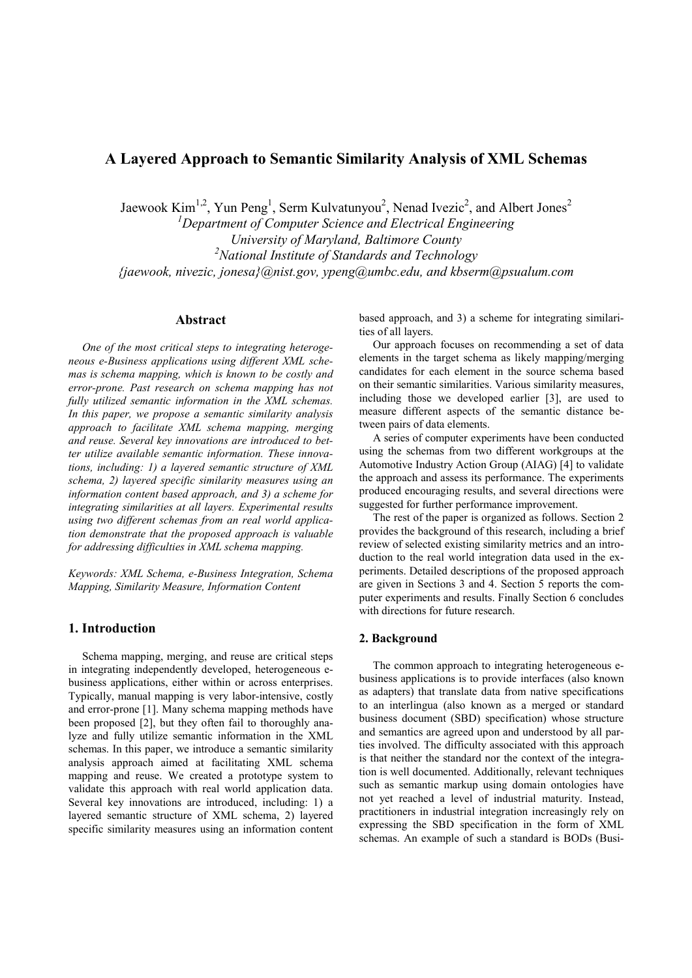# **A Layered Approach to Semantic Similarity Analysis of XML Schemas**

Jaewook Kim<sup>1,2</sup>, Yun Peng<sup>1</sup>, Serm Kulvatunyou<sup>2</sup>, Nenad Ivezic<sup>2</sup>, and Albert Jones<sup>2</sup>

*<sup>1</sup>Department of Computer Science and Electrical Engineering University of Maryland, Baltimore County <sup>2</sup>National Institute of Standards and Technology {jaewook, nivezic, jonesa}@nist.gov, ypeng@umbc.edu, and kbserm@psualum.com* 

## **Abstract**

*One of the most critical steps to integrating heterogeneous e-Business applications using different XML schemas is schema mapping, which is known to be costly and error-prone. Past research on schema mapping has not fully utilized semantic information in the XML schemas. In this paper, we propose a semantic similarity analysis approach to facilitate XML schema mapping, merging and reuse. Several key innovations are introduced to better utilize available semantic information. These innovations, including: 1) a layered semantic structure of XML schema, 2) layered specific similarity measures using an information content based approach, and 3) a scheme for integrating similarities at all layers. Experimental results using two different schemas from an real world application demonstrate that the proposed approach is valuable for addressing difficulties in XML schema mapping.* 

*Keywords: XML Schema, e-Business Integration, Schema Mapping, Similarity Measure, Information Content* 

## **1. Introduction**

Schema mapping, merging, and reuse are critical steps in integrating independently developed, heterogeneous ebusiness applications, either within or across enterprises. Typically, manual mapping is very labor-intensive, costly and error-prone [1]. Many schema mapping methods have been proposed [2], but they often fail to thoroughly analyze and fully utilize semantic information in the XML schemas. In this paper, we introduce a semantic similarity analysis approach aimed at facilitating XML schema mapping and reuse. We created a prototype system to validate this approach with real world application data. Several key innovations are introduced, including: 1) a layered semantic structure of XML schema, 2) layered specific similarity measures using an information content based approach, and 3) a scheme for integrating similarities of all layers.

Our approach focuses on recommending a set of data elements in the target schema as likely mapping/merging candidates for each element in the source schema based on their semantic similarities. Various similarity measures, including those we developed earlier [3], are used to measure different aspects of the semantic distance between pairs of data elements.

A series of computer experiments have been conducted using the schemas from two different workgroups at the Automotive Industry Action Group (AIAG) [4] to validate the approach and assess its performance. The experiments produced encouraging results, and several directions were suggested for further performance improvement.

The rest of the paper is organized as follows. Section 2 provides the background of this research, including a brief review of selected existing similarity metrics and an introduction to the real world integration data used in the experiments. Detailed descriptions of the proposed approach are given in Sections 3 and 4. Section 5 reports the computer experiments and results. Finally Section 6 concludes with directions for future research.

#### **2. Background**

The common approach to integrating heterogeneous ebusiness applications is to provide interfaces (also known as adapters) that translate data from native specifications to an interlingua (also known as a merged or standard business document (SBD) specification) whose structure and semantics are agreed upon and understood by all parties involved. The difficulty associated with this approach is that neither the standard nor the context of the integration is well documented. Additionally, relevant techniques such as semantic markup using domain ontologies have not yet reached a level of industrial maturity. Instead, practitioners in industrial integration increasingly rely on expressing the SBD specification in the form of XML schemas. An example of such a standard is BODs (Busi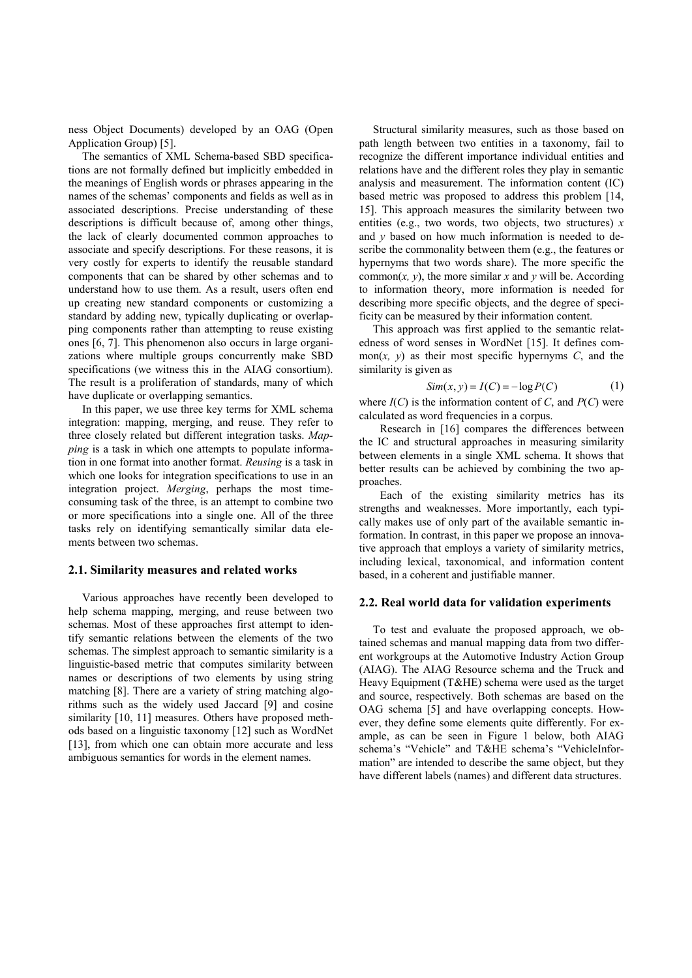ness Object Documents) developed by an OAG (Open Application Group) [5].

The semantics of XML Schema-based SBD specifications are not formally defined but implicitly embedded in the meanings of English words or phrases appearing in the names of the schemas' components and fields as well as in associated descriptions. Precise understanding of these descriptions is difficult because of, among other things, the lack of clearly documented common approaches to associate and specify descriptions. For these reasons, it is very costly for experts to identify the reusable standard components that can be shared by other schemas and to understand how to use them. As a result, users often end up creating new standard components or customizing a standard by adding new, typically duplicating or overlapping components rather than attempting to reuse existing ones [6, 7]. This phenomenon also occurs in large organizations where multiple groups concurrently make SBD specifications (we witness this in the AIAG consortium). The result is a proliferation of standards, many of which have duplicate or overlapping semantics.

In this paper, we use three key terms for XML schema integration: mapping, merging, and reuse. They refer to three closely related but different integration tasks. *Mapping* is a task in which one attempts to populate information in one format into another format. *Reusing* is a task in which one looks for integration specifications to use in an integration project. *Merging*, perhaps the most timeconsuming task of the three, is an attempt to combine two or more specifications into a single one. All of the three tasks rely on identifying semantically similar data elements between two schemas.

#### **2.1. Similarity measures and related works**

Various approaches have recently been developed to help schema mapping, merging, and reuse between two schemas. Most of these approaches first attempt to identify semantic relations between the elements of the two schemas. The simplest approach to semantic similarity is a linguistic-based metric that computes similarity between names or descriptions of two elements by using string matching [8]. There are a variety of string matching algorithms such as the widely used Jaccard [9] and cosine similarity [10, 11] measures. Others have proposed methods based on a linguistic taxonomy [12] such as WordNet [13], from which one can obtain more accurate and less ambiguous semantics for words in the element names.

Structural similarity measures, such as those based on path length between two entities in a taxonomy, fail to recognize the different importance individual entities and relations have and the different roles they play in semantic analysis and measurement. The information content (IC) based metric was proposed to address this problem [14, 15]. This approach measures the similarity between two entities (e.g., two words, two objects, two structures) *x* and *y* based on how much information is needed to describe the commonality between them (e.g., the features or hypernyms that two words share). The more specific the common $(x, y)$ , the more similar x and  $y$  will be. According to information theory, more information is needed for describing more specific objects, and the degree of specificity can be measured by their information content.

This approach was first applied to the semantic relatedness of word senses in WordNet [15]. It defines common $(x, y)$  as their most specific hypernyms  $C$ , and the similarity is given as

$$
Sim(x, y) = I(C) = -\log P(C)
$$
 (1)

where  $I(C)$  is the information content of  $C$ , and  $P(C)$  were calculated as word frequencies in a corpus.

Research in [16] compares the differences between the IC and structural approaches in measuring similarity between elements in a single XML schema. It shows that better results can be achieved by combining the two approaches.

Each of the existing similarity metrics has its strengths and weaknesses. More importantly, each typically makes use of only part of the available semantic information. In contrast, in this paper we propose an innovative approach that employs a variety of similarity metrics, including lexical, taxonomical, and information content based, in a coherent and justifiable manner.

## **2.2. Real world data for validation experiments**

To test and evaluate the proposed approach, we obtained schemas and manual mapping data from two different workgroups at the Automotive Industry Action Group (AIAG). The AIAG Resource schema and the Truck and Heavy Equipment (T&HE) schema were used as the target and source, respectively. Both schemas are based on the OAG schema [5] and have overlapping concepts. However, they define some elements quite differently. For example, as can be seen in Figure 1 below, both AIAG schema's "Vehicle" and T&HE schema's "VehicleInformation" are intended to describe the same object, but they have different labels (names) and different data structures.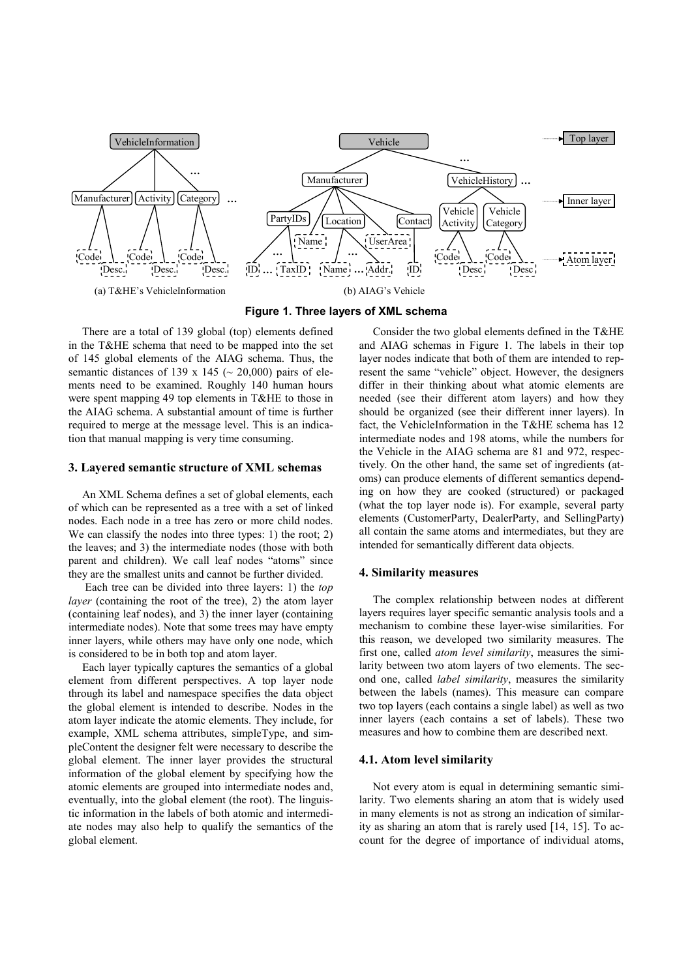

**Figure 1. Three layers of XML schema** 

There are a total of 139 global (top) elements defined in the T&HE schema that need to be mapped into the set of 145 global elements of the AIAG schema. Thus, the semantic distances of 139 x 145 ( $\sim$  20,000) pairs of elements need to be examined. Roughly 140 human hours were spent mapping 49 top elements in T&HE to those in the AIAG schema. A substantial amount of time is further required to merge at the message level. This is an indication that manual mapping is very time consuming.

#### **3. Layered semantic structure of XML schemas**

An XML Schema defines a set of global elements, each of which can be represented as a tree with a set of linked nodes. Each node in a tree has zero or more child nodes. We can classify the nodes into three types: 1) the root; 2) the leaves; and 3) the intermediate nodes (those with both parent and children). We call leaf nodes "atoms" since they are the smallest units and cannot be further divided.

 Each tree can be divided into three layers: 1) the *top layer* (containing the root of the tree), 2) the atom layer (containing leaf nodes), and 3) the inner layer (containing intermediate nodes). Note that some trees may have empty inner layers, while others may have only one node, which is considered to be in both top and atom layer.

Each layer typically captures the semantics of a global element from different perspectives. A top layer node through its label and namespace specifies the data object the global element is intended to describe. Nodes in the atom layer indicate the atomic elements. They include, for example, XML schema attributes, simpleType, and simpleContent the designer felt were necessary to describe the global element. The inner layer provides the structural information of the global element by specifying how the atomic elements are grouped into intermediate nodes and, eventually, into the global element (the root). The linguistic information in the labels of both atomic and intermediate nodes may also help to qualify the semantics of the global element.

Consider the two global elements defined in the T&HE and AIAG schemas in Figure 1. The labels in their top layer nodes indicate that both of them are intended to represent the same "vehicle" object. However, the designers differ in their thinking about what atomic elements are needed (see their different atom layers) and how they should be organized (see their different inner layers). In fact, the VehicleInformation in the T&HE schema has 12 intermediate nodes and 198 atoms, while the numbers for the Vehicle in the AIAG schema are 81 and 972, respectively. On the other hand, the same set of ingredients (atoms) can produce elements of different semantics depending on how they are cooked (structured) or packaged (what the top layer node is). For example, several party elements (CustomerParty, DealerParty, and SellingParty) all contain the same atoms and intermediates, but they are intended for semantically different data objects.

#### **4. Similarity measures**

The complex relationship between nodes at different layers requires layer specific semantic analysis tools and a mechanism to combine these layer-wise similarities. For this reason, we developed two similarity measures. The first one, called *atom level similarity*, measures the similarity between two atom layers of two elements. The second one, called *label similarity*, measures the similarity between the labels (names). This measure can compare two top layers (each contains a single label) as well as two inner layers (each contains a set of labels). These two measures and how to combine them are described next.

## **4.1. Atom level similarity**

Not every atom is equal in determining semantic similarity. Two elements sharing an atom that is widely used in many elements is not as strong an indication of similarity as sharing an atom that is rarely used [14, 15]. To account for the degree of importance of individual atoms,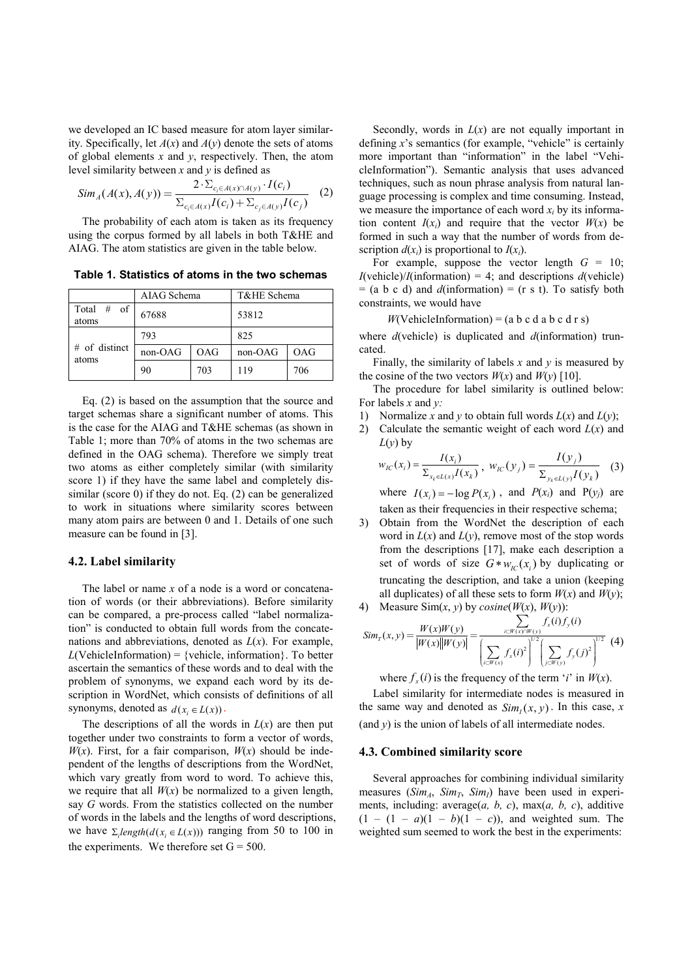we developed an IC based measure for atom layer similarity. Specifically, let *A*(*x*) and *A*(*y*) denote the sets of atoms of global elements *x* and *y*, respectively. Then, the atom level similarity between *x* and *y* is defined as

$$
Sim_{A}(A(x), A(y)) = \frac{2 \cdot \sum_{c_i \in A(x) \cap A(y)} I(c_i)}{\sum_{c_i \in A(x)} I(c_i) + \sum_{c_j \in A(y)} I(c_j)}
$$
(2)

The probability of each atom is taken as its frequency using the corpus formed by all labels in both T&HE and AIAG. The atom statistics are given in the table below.

**Table 1. Statistics of atoms in the two schemas** 

|                           | AIAG Schema |     | T&HE Schema |     |
|---------------------------|-------------|-----|-------------|-----|
| Total<br>#<br>of<br>atoms | 67688       |     | 53812       |     |
| $#$ of distinct<br>atoms  | 793         |     | 825         |     |
|                           | non-OAG     | OAG | non-OAG     | OAG |
|                           | 90          | 703 | 119         | 706 |

Eq. (2) is based on the assumption that the source and target schemas share a significant number of atoms. This is the case for the AIAG and T&HE schemas (as shown in Table 1; more than 70% of atoms in the two schemas are defined in the OAG schema). Therefore we simply treat two atoms as either completely similar (with similarity score 1) if they have the same label and completely dissimilar (score 0) if they do not. Eq. (2) can be generalized to work in situations where similarity scores between many atom pairs are between 0 and 1. Details of one such measure can be found in [3].

#### **4.2. Label similarity**

The label or name *x* of a node is a word or concatenation of words (or their abbreviations). Before similarity can be compared, a pre-process called "label normalization" is conducted to obtain full words from the concatenations and abbreviations, denoted as  $L(x)$ . For example,  $L(VehicleInformation) = \{ vehicle, information\}$ . To better ascertain the semantics of these words and to deal with the problem of synonyms, we expand each word by its description in WordNet, which consists of definitions of all synonyms, denoted as  $d(x_i \in L(x))$ .

The descriptions of all the words in  $L(x)$  are then put together under two constraints to form a vector of words,  $W(x)$ . First, for a fair comparison,  $W(x)$  should be independent of the lengths of descriptions from the WordNet, which vary greatly from word to word. To achieve this, we require that all  $W(x)$  be normalized to a given length, say *G* words. From the statistics collected on the number of words in the labels and the lengths of word descriptions, we have  $\sum_i length(d(x_i \in L(x)))$  ranging from 50 to 100 in the experiments. We therefore set  $G = 500$ .

Secondly, words in  $L(x)$  are not equally important in defining *x*'s semantics (for example, "vehicle" is certainly more important than "information" in the label "VehicleInformation"). Semantic analysis that uses advanced techniques, such as noun phrase analysis from natural language processing is complex and time consuming. Instead, we measure the importance of each word  $x_i$  by its information content  $I(x_i)$  and require that the vector  $W(x)$  be formed in such a way that the number of words from description  $d(x_i)$  is proportional to  $I(x_i)$ .

For example, suppose the vector length  $G = 10$ ;  $I$ (vehicle)/ $I$ (information) = 4; and descriptions  $d$ (vehicle)  $=$  (a b c d) and  $d$ (information)  $=$  (r s t). To satisfy both constraints, we would have

 $$ 

where *d*(vehicle) is duplicated and *d*(information) truncated.

Finally, the similarity of labels *x* and *y* is measured by the cosine of the two vectors  $W(x)$  and  $W(y)$  [10].

The procedure for label similarity is outlined below: For labels *x* and *y:*

- 1) Normalize *x* and *y* to obtain full words  $L(x)$  and  $L(y)$ ;
- 2) Calculate the semantic weight of each word  $L(x)$  and  $L(y)$  by

$$
w_{IC}(x_i) = \frac{I(x_i)}{\sum_{x_k \in L(x)} I(x_k)}, \ w_{IC}(y_j) = \frac{I(y_j)}{\sum_{y_k \in L(y)} I(y_k)} \tag{3}
$$

where  $I(x_i) = -\log P(x_i)$ , and  $P(x_i)$  and  $P(y_j)$  are taken as their frequencies in their respective schema;

3) Obtain from the WordNet the description of each word in  $L(x)$  and  $L(y)$ , remove most of the stop words from the descriptions [17], make each description a set of words of size  $G * w_{iC}(x_i)$  by duplicating or truncating the description, and take a union (keeping all duplicates) of all these sets to form  $W(x)$  and  $W(y)$ ; 4) Measure Sim(*x*, *y*) by *cosine*( $W(x)$ ,  $W(y)$ ):

$$
Sim_{T}(x, y) = \frac{W(x)W(y)}{|W(x)||W(y)|} = \frac{\sum_{i \in W(x) \cap W(y)} f_{x}(i) f_{y}(i)}{\left(\sum_{i \in W(x)} f_{x}(i)^{2}\right)^{1/2} \left(\sum_{j \in W(y)} f_{y}(j)^{2}\right)^{1/2}}
$$
(4)

where  $f_x(i)$  is the frequency of the term '*i*' in *W*(*x*).

Label similarity for intermediate nodes is measured in the same way and denoted as  $Sim<sub>l</sub>(x, y)$ . In this case, *x* (and *y*) is the union of labels of all intermediate nodes.

#### **4.3. Combined similarity score**

Several approaches for combining individual similarity measures  $(Sim_A, Sim_T, Sim_I)$  have been used in experiments, including: average(*a, b, c*), max(*a, b, c*), additive  $(1 - (1 - a)(1 - b)(1 - c))$ , and weighted sum. The weighted sum seemed to work the best in the experiments: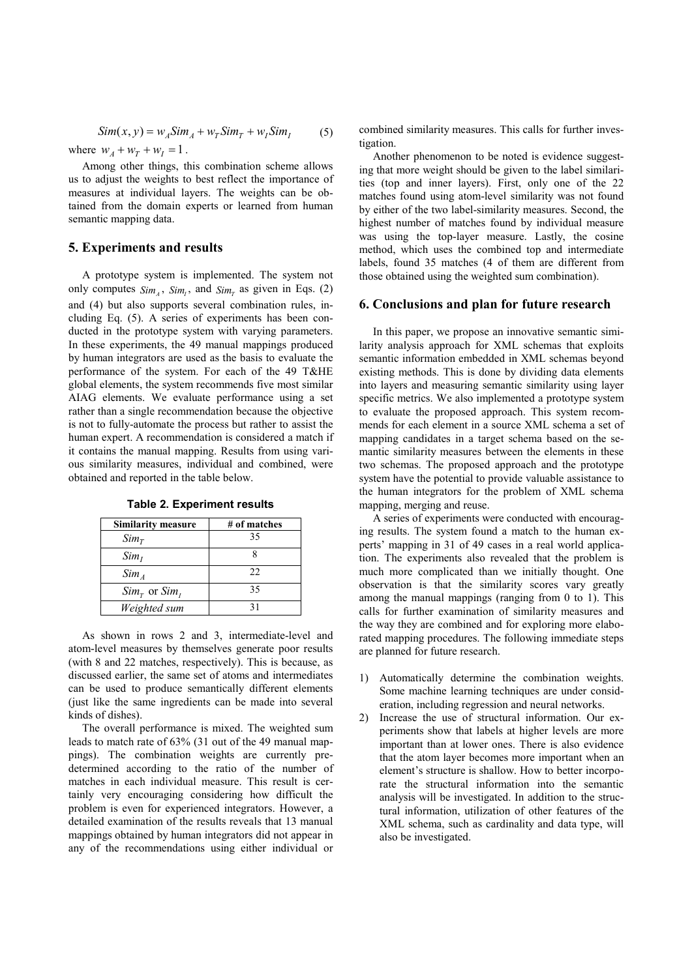$$
Sim(x, y) = w_A Sim_A + w_T Sim_T + w_I Sim_I \tag{5}
$$

where  $w_A + w_T + w_I = 1$ .

Among other things, this combination scheme allows us to adjust the weights to best reflect the importance of measures at individual layers. The weights can be obtained from the domain experts or learned from human semantic mapping data.

## **5. Experiments and results**

A prototype system is implemented. The system not only computes  $Sim_A$ ,  $Sim_I$ , and  $Sim_T$  as given in Eqs. (2) and (4) but also supports several combination rules, including Eq. (5). A series of experiments has been conducted in the prototype system with varying parameters. In these experiments, the 49 manual mappings produced by human integrators are used as the basis to evaluate the performance of the system. For each of the 49 T&HE global elements, the system recommends five most similar AIAG elements. We evaluate performance using a set rather than a single recommendation because the objective is not to fully-automate the process but rather to assist the human expert. A recommendation is considered a match if it contains the manual mapping. Results from using various similarity measures, individual and combined, were obtained and reported in the table below.

| <b>Similarity measure</b>    | # of matches |
|------------------------------|--------------|
| $Sim_T$                      | 35           |
| Sim <sub>I</sub>             |              |
| $Sim_A$                      | 22.          |
| $Sim_{\tau}$ or $Sim_{\tau}$ | 35           |
| Weighted sum                 | 31           |

**Table 2. Experiment results** 

As shown in rows 2 and 3, intermediate-level and atom-level measures by themselves generate poor results (with 8 and 22 matches, respectively). This is because, as discussed earlier, the same set of atoms and intermediates can be used to produce semantically different elements (just like the same ingredients can be made into several kinds of dishes).

The overall performance is mixed. The weighted sum leads to match rate of 63% (31 out of the 49 manual mappings). The combination weights are currently predetermined according to the ratio of the number of matches in each individual measure. This result is certainly very encouraging considering how difficult the problem is even for experienced integrators. However, a detailed examination of the results reveals that 13 manual mappings obtained by human integrators did not appear in any of the recommendations using either individual or

combined similarity measures. This calls for further investigation.

Another phenomenon to be noted is evidence suggesting that more weight should be given to the label similarities (top and inner layers). First, only one of the 22 matches found using atom-level similarity was not found by either of the two label-similarity measures. Second, the highest number of matches found by individual measure was using the top-layer measure. Lastly, the cosine method, which uses the combined top and intermediate labels, found 35 matches (4 of them are different from those obtained using the weighted sum combination).

#### **6. Conclusions and plan for future research**

In this paper, we propose an innovative semantic similarity analysis approach for XML schemas that exploits semantic information embedded in XML schemas beyond existing methods. This is done by dividing data elements into layers and measuring semantic similarity using layer specific metrics. We also implemented a prototype system to evaluate the proposed approach. This system recommends for each element in a source XML schema a set of mapping candidates in a target schema based on the semantic similarity measures between the elements in these two schemas. The proposed approach and the prototype system have the potential to provide valuable assistance to the human integrators for the problem of XML schema mapping, merging and reuse.

A series of experiments were conducted with encouraging results. The system found a match to the human experts' mapping in 31 of 49 cases in a real world application. The experiments also revealed that the problem is much more complicated than we initially thought. One observation is that the similarity scores vary greatly among the manual mappings (ranging from 0 to 1). This calls for further examination of similarity measures and the way they are combined and for exploring more elaborated mapping procedures. The following immediate steps are planned for future research.

- 1) Automatically determine the combination weights. Some machine learning techniques are under consideration, including regression and neural networks.
- 2) Increase the use of structural information. Our experiments show that labels at higher levels are more important than at lower ones. There is also evidence that the atom layer becomes more important when an element's structure is shallow. How to better incorporate the structural information into the semantic analysis will be investigated. In addition to the structural information, utilization of other features of the XML schema, such as cardinality and data type, will also be investigated.